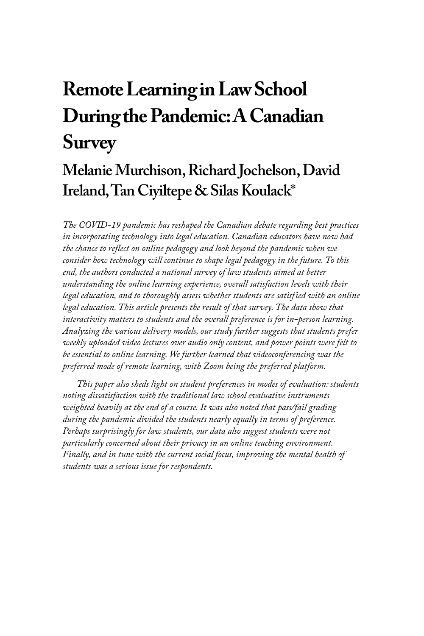# **Remote Learning in Law School During the Pandemic: A Canadian Survey**

# **Melanie Murchison, Richard Jochelson, David Ireland, Tan Ciyiltepe & Silas Koulack**\*

*The COVID-19 pandemic has reshaped the Canadian debate regarding best practices in incorporating technology into legal education. Canadian educators have now had the chance to reflect on online pedagogy and look beyond the pandemic when we consider how technology will continue to shape legal pedagogy in the future. To this end, the authors conducted a national survey of law students aimed at better understanding the online learning experience, overall satisfaction levels with their legal education, and to thoroughly assess whether students are satisfied with an online*  legal education. This article presents the result of that survey. The data show that *interactivity matters to students and the overall preference is for in-person learning. Analyzing the various delivery models, our study further suggests that students prefer weekly uploaded video lectures over audio only content, and power points were felt to be essential to online learning. We further learned that videoconferencing was the preferred mode of remote learning, with Zoom being the preferred platform.* 

*This paper also sheds light on student preferences in modes of evaluation: students noting dissatisfaction with the traditional law school evaluative instruments weighted heavily at the end of a course. It was also noted that pass/fail grading during the pandemic divided the students nearly equally in terms of preference. Perhaps surprisingly for law students, our data also suggest students were not particularly concerned about their privacy in an online teaching environment. Finally, and in tune with the current social focus, improving the mental health of students was a serious issue for respondents.*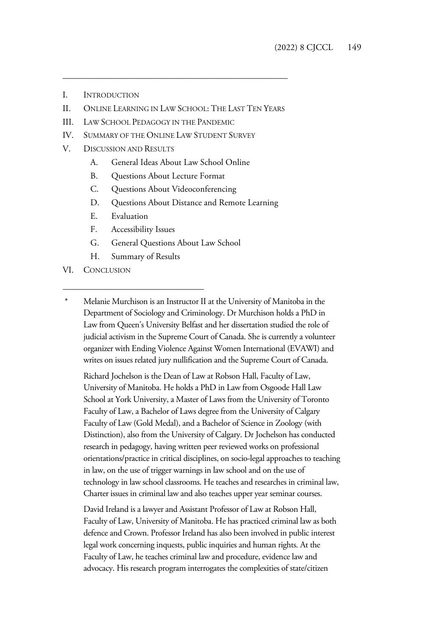- I. INTRODUCTION
- II. ONLINE LEARNING IN LAW SCHOOL: THE LAST TEN YEARS

\_\_\_\_\_\_\_\_\_\_\_\_\_\_\_\_\_\_\_\_\_\_\_\_\_\_\_\_\_\_\_\_\_\_\_\_\_\_\_\_\_\_\_\_\_\_\_\_\_\_\_

- III. LAW SCHOOL PEDAGOGY IN THE PANDEMIC
- IV. SUMMARY OF THE ONLINE LAW STUDENT SURVEY
- V. DISCUSSION AND RESULTS
	- A. General Ideas About Law School Online
	- B. Questions About Lecture Format
	- C. Questions About Videoconferencing
	- D. Questions About Distance and Remote Learning
	- E. Evaluation
	- F. Accessibility Issues
	- G. General Questions About Law School
	- H. Summary of Results
- VI. CONCLUSION
- Melanie Murchison is an Instructor II at the University of Manitoba in the Department of Sociology and Criminology. Dr Murchison holds a PhD in Law from Queen's University Belfast and her dissertation studied the role of judicial activism in the Supreme Court of Canada. She is currently a volunteer organizer with Ending Violence Against Women International (EVAWI) and writes on issues related jury nullification and the Supreme Court of Canada.

Richard Jochelson is the Dean of Law at Robson Hall, Faculty of Law, University of Manitoba. He holds a PhD in Law from Osgoode Hall Law School at York University, a Master of Laws from the University of Toronto Faculty of Law, a Bachelor of Laws degree from the University of Calgary Faculty of Law (Gold Medal), and a Bachelor of Science in Zoology (with Distinction), also from the University of Calgary. Dr Jochelson has conducted research in pedagogy, having written peer reviewed works on professional orientations/practice in critical disciplines, on socio-legal approaches to teaching in law, on the use of trigger warnings in law school and on the use of technology in law school classrooms. He teaches and researches in criminal law, Charter issues in criminal law and also teaches upper year seminar courses.

David Ireland is a lawyer and Assistant Professor of Law at Robson Hall, Faculty of Law, University of Manitoba. He has practiced criminal law as both defence and Crown. Professor Ireland has also been involved in public interest legal work concerning inquests, public inquiries and human rights. At the Faculty of Law, he teaches criminal law and procedure, evidence law and advocacy. His research program interrogates the complexities of state/citizen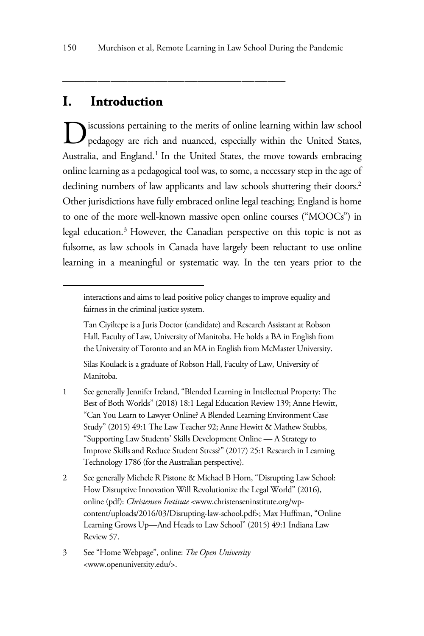\_\_\_\_\_\_\_\_\_\_\_\_\_\_\_\_\_\_\_\_\_\_\_\_\_\_\_\_\_\_\_\_\_\_\_\_\_\_\_\_\_\_\_\_\_\_\_\_\_\_\_

# **I. Introduction**

iscussions pertaining to the merits of online learning within law school pedagogy are rich and nuanced, especially within the United States, Australia, and England.<sup>1</sup> In the United States, the move towards embracing online learning as a pedagogical tool was, to some, a necessary step in the age of declining numbers of law applicants and law schools shuttering their doors.<sup>2</sup> Other jurisdictions have fully embraced online legal teaching; England is home to one of the more well-known massive open online courses ("MOOCs") in legal education.<sup>3</sup> However, the Canadian perspective on this topic is not as fulsome, as law schools in Canada have largely been reluctant to use online learning in a meaningful or systematic way. In the ten years prior to the D

- 1 See generally Jennifer Ireland, "Blended Learning in Intellectual Property: The Best of Both Worlds" (2018) 18:1 Legal Education Review 139; Anne Hewitt, "Can You Learn to Lawyer Online? A Blended Learning Environment Case Study" (2015) 49:1 The Law Teacher 92; Anne Hewitt & Mathew Stubbs, "Supporting Law Students' Skills Development Online — A Strategy to Improve Skills and Reduce Student Stress?" (2017) 25:1 Research in Learning Technology 1786 (for the Australian perspective).
- 2 See generally Michele R Pistone & Michael B Horn, "Disrupting Law School: How Disruptive Innovation Will Revolutionize the Legal World" (2016), online (pdf): *Christensen Institute* <www.christenseninstitute.org/wpcontent/uploads/2016/03/Disrupting-law-school.pdf>; Max Huffman, "Online Learning Grows Up—And Heads to Law School" (2015) 49:1 Indiana Law Review 57.
- 3 See "Home Webpage", online: *The Open University* <www.openuniversity.edu/>.

interactions and aims to lead positive policy changes to improve equality and fairness in the criminal justice system.

Tan Ciyiltepe is a Juris Doctor (candidate) and Research Assistant at Robson Hall, Faculty of Law, University of Manitoba. He holds a BA in English from the University of Toronto and an MA in English from McMaster University.

Silas Koulack is a graduate of Robson Hall, Faculty of Law, University of Manitoba.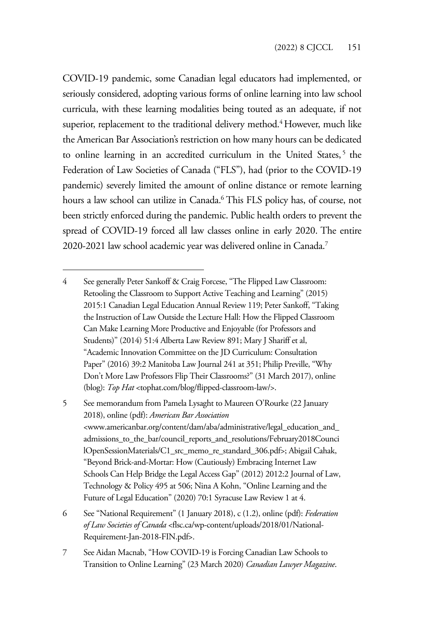COVID-19 pandemic, some Canadian legal educators had implemented, or seriously considered, adopting various forms of online learning into law school curricula, with these learning modalities being touted as an adequate, if not superior, replacement to the traditional delivery method.<sup>4</sup> However, much like the American Bar Association's restriction on how many hours can be dedicated to online learning in an accredited curriculum in the United States,<sup>5</sup> the Federation of Law Societies of Canada ("FLS"), had (prior to the COVID-19 pandemic) severely limited the amount of online distance or remote learning hours a law school can utilize in Canada.6 This FLS policy has, of course, not been strictly enforced during the pandemic. Public health orders to prevent the spread of COVID-19 forced all law classes online in early 2020. The entire 2020-2021 law school academic year was delivered online in Canada.7

<sup>4</sup> See generally Peter Sankoff & Craig Forcese, "The Flipped Law Classroom: Retooling the Classroom to Support Active Teaching and Learning" (2015) 2015:1 Canadian Legal Education Annual Review 119; Peter Sankoff, "Taking the Instruction of Law Outside the Lecture Hall: How the Flipped Classroom Can Make Learning More Productive and Enjoyable (for Professors and Students)" (2014) 51:4 Alberta Law Review 891; Mary J Shariff et al, "Academic Innovation Committee on the JD Curriculum: Consultation Paper" (2016) 39:2 Manitoba Law Journal 241 at 351; Philip Preville, "Why Don't More Law Professors Flip Their Classrooms?" (31 March 2017), online (blog): *Top Hat* <tophat.com/blog/flipped-classroom-law/>.

<sup>5</sup> See memorandum from Pamela Lysaght to Maureen O'Rourke (22 January 2018), online (pdf): *American Bar Association* <www.americanbar.org/content/dam/aba/administrative/legal\_education\_and\_ admissions\_to\_the\_bar/council\_reports\_and\_resolutions/February2018Counci lOpenSessionMaterials/C1\_src\_memo\_re\_standard\_306.pdf>; Abigail Cahak, "Beyond Brick-and-Mortar: How (Cautiously) Embracing Internet Law Schools Can Help Bridge the Legal Access Gap" (2012) 2012:2 Journal of Law, Technology & Policy 495 at 506; Nina A Kohn, "Online Learning and the Future of Legal Education" (2020) 70:1 Syracuse Law Review 1 at 4.

<sup>6</sup> See "National Requirement" (1 January 2018), c (1.2), online (pdf): *Federation of Law Societies of Canada* <flsc.ca/wp-content/uploads/2018/01/National-Requirement-Jan-2018-FIN.pdf>.

<sup>7</sup> See Aidan Macnab, "How COVID-19 is Forcing Canadian Law Schools to Transition to Online Learning" (23 March 2020) *Canadian Lawyer Magazine*.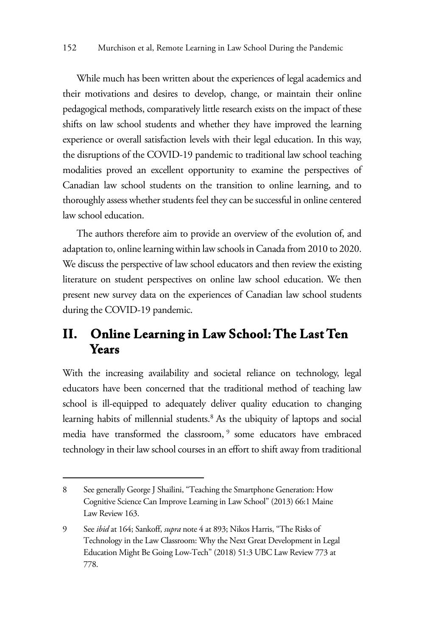While much has been written about the experiences of legal academics and their motivations and desires to develop, change, or maintain their online pedagogical methods, comparatively little research exists on the impact of these shifts on law school students and whether they have improved the learning experience or overall satisfaction levels with their legal education. In this way, the disruptions of the COVID-19 pandemic to traditional law school teaching modalities proved an excellent opportunity to examine the perspectives of Canadian law school students on the transition to online learning, and to thoroughly assess whether students feel they can be successful in online centered law school education.

The authors therefore aim to provide an overview of the evolution of, and adaptation to, online learning within law schools in Canada from 2010 to 2020. We discuss the perspective of law school educators and then review the existing literature on student perspectives on online law school education. We then present new survey data on the experiences of Canadian law school students during the COVID-19 pandemic.

# **II. Online Learning in Law School: The Last Ten Years**

With the increasing availability and societal reliance on technology, legal educators have been concerned that the traditional method of teaching law school is ill-equipped to adequately deliver quality education to changing learning habits of millennial students.<sup>8</sup> As the ubiquity of laptops and social media have transformed the classroom,<sup>9</sup> some educators have embraced technology in their law school courses in an effort to shift away from traditional

<sup>8</sup> See generally George J Shailini, "Teaching the Smartphone Generation: How Cognitive Science Can Improve Learning in Law School" (2013) 66:1 Maine Law Review 163.

<sup>9</sup> See *ibid* at 164; Sankoff, *supra* note 4 at 893; Nikos Harris, "The Risks of Technology in the Law Classroom: Why the Next Great Development in Legal Education Might Be Going Low-Tech" (2018) 51:3 UBC Law Review 773 at 778.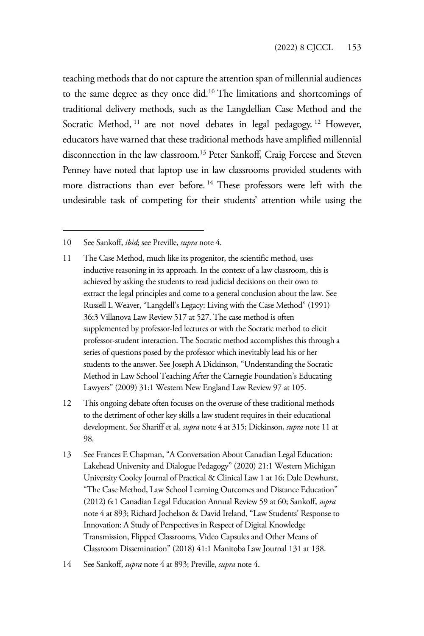teaching methods that do not capture the attention span of millennial audiences to the same degree as they once did.10 The limitations and shortcomings of traditional delivery methods, such as the Langdellian Case Method and the Socratic Method, <sup>11</sup> are not novel debates in legal pedagogy.<sup>12</sup> However, educators have warned that these traditional methods have amplified millennial disconnection in the law classroom.13 Peter Sankoff, Craig Forcese and Steven Penney have noted that laptop use in law classrooms provided students with more distractions than ever before. 14 These professors were left with the undesirable task of competing for their students' attention while using the

- 11 The Case Method, much like its progenitor, the scientific method, uses inductive reasoning in its approach. In the context of a law classroom, this is achieved by asking the students to read judicial decisions on their own to extract the legal principles and come to a general conclusion about the law. See Russell L Weaver, "Langdell's Legacy: Living with the Case Method" (1991) 36:3 Villanova Law Review 517 at 527. The case method is often supplemented by professor-led lectures or with the Socratic method to elicit professor-student interaction. The Socratic method accomplishes this through a series of questions posed by the professor which inevitably lead his or her students to the answer. See Joseph A Dickinson, "Understanding the Socratic Method in Law School Teaching After the Carnegie Foundation's Educating Lawyers" (2009) 31:1 Western New England Law Review 97 at 105.
- 12 This ongoing debate often focuses on the overuse of these traditional methods to the detriment of other key skills a law student requires in their educational development. See Shariff et al, *supra* note 4 at 315; Dickinson, *supra* note 11 at 98.
- 13 See Frances E Chapman, "A Conversation About Canadian Legal Education: Lakehead University and Dialogue Pedagogy" (2020) 21:1 Western Michigan University Cooley Journal of Practical & Clinical Law 1 at 16; Dale Dewhurst, "The Case Method, Law School Learning Outcomes and Distance Education" (2012) 6:1 Canadian Legal Education Annual Review 59 at 60; Sankoff, *supra*  note 4 at 893; Richard Jochelson & David Ireland, "Law Students' Response to Innovation: A Study of Perspectives in Respect of Digital Knowledge Transmission, Flipped Classrooms, Video Capsules and Other Means of Classroom Dissemination" (2018) 41:1 Manitoba Law Journal 131 at 138.

<sup>10</sup> See Sankoff, *ibid*; see Preville, *supra* note 4.

<sup>14</sup> See Sankoff, *supra* note 4 at 893; Preville, *supra* note 4.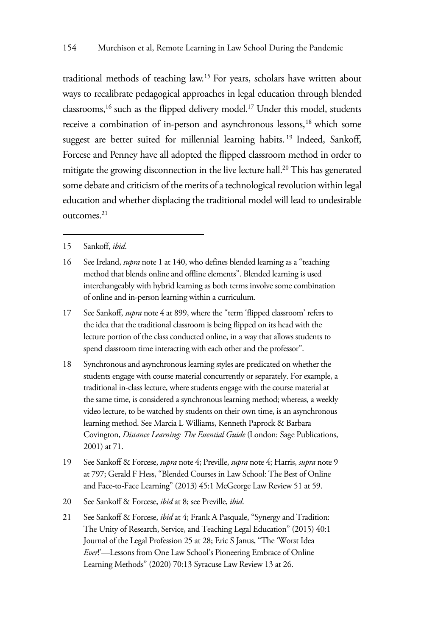traditional methods of teaching law.15 For years, scholars have written about ways to recalibrate pedagogical approaches in legal education through blended classrooms,<sup>16</sup> such as the flipped delivery model.<sup>17</sup> Under this model, students receive a combination of in-person and asynchronous lessons,<sup>18</sup> which some suggest are better suited for millennial learning habits.<sup>19</sup> Indeed, Sankoff, Forcese and Penney have all adopted the flipped classroom method in order to mitigate the growing disconnection in the live lecture hall.<sup>20</sup> This has generated some debate and criticism of the merits of a technological revolution within legal education and whether displacing the traditional model will lead to undesirable outcomes.21

- 15 Sankoff, *ibid*.
- 16 See Ireland, *supra* note 1 at 140, who defines blended learning as a "teaching method that blends online and offline elements". Blended learning is used interchangeably with hybrid learning as both terms involve some combination of online and in-person learning within a curriculum.
- 17 See Sankoff, *supra* note 4 at 899, where the "term 'flipped classroom' refers to the idea that the traditional classroom is being flipped on its head with the lecture portion of the class conducted online, in a way that allows students to spend classroom time interacting with each other and the professor".
- 18 Synchronous and asynchronous learning styles are predicated on whether the students engage with course material concurrently or separately. For example, a traditional in-class lecture, where students engage with the course material at the same time, is considered a synchronous learning method; whereas, a weekly video lecture, to be watched by students on their own time, is an asynchronous learning method. See Marcia L Williams, Kenneth Paprock & Barbara Covington, *Distance Learning: The Essential Guide* (London: Sage Publications, 2001) at 71.
- 19 See Sankoff & Forcese, *supra* note 4; Preville, *supra* note 4; Harris, *supra* note 9 at 797; Gerald F Hess, "Blended Courses in Law School: The Best of Online and Face-to-Face Learning" (2013) 45:1 McGeorge Law Review 51 at 59.
- 20 See Sankoff & Forcese, *ibid* at 8; see Preville, *ibid*.
- 21 See Sankoff & Forcese, *ibid* at 4; Frank A Pasquale, "Synergy and Tradition: The Unity of Research, Service, and Teaching Legal Education" (2015) 40:1 Journal of the Legal Profession 25 at 28; Eric S Janus, "The 'Worst Idea *Ever*!'—Lessons from One Law School's Pioneering Embrace of Online Learning Methods" (2020) 70:13 Syracuse Law Review 13 at 26.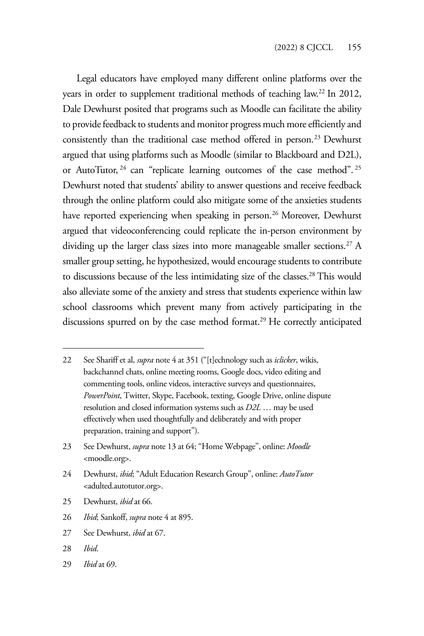Legal educators have employed many different online platforms over the years in order to supplement traditional methods of teaching law.<sup>22</sup> In 2012, Dale Dewhurst posited that programs such as Moodle can facilitate the ability to provide feedback to students and monitor progress much more efficiently and consistently than the traditional case method offered in person.<sup>23</sup> Dewhurst argued that using platforms such as Moodle (similar to Blackboard and D2L), or AutoTutor, <sup>24</sup> can "replicate learning outcomes of the case method". <sup>25</sup> Dewhurst noted that students' ability to answer questions and receive feedback through the online platform could also mitigate some of the anxieties students have reported experiencing when speaking in person.<sup>26</sup> Moreover, Dewhurst argued that videoconferencing could replicate the in-person environment by dividing up the larger class sizes into more manageable smaller sections.<sup>27</sup> A smaller group setting, he hypothesized, would encourage students to contribute to discussions because of the less intimidating size of the classes.28 This would also alleviate some of the anxiety and stress that students experience within law school classrooms which prevent many from actively participating in the discussions spurred on by the case method format.<sup>29</sup> He correctly anticipated

- 25 Dewhurst, *ibid* at 66.
- 26 *Ibid*; Sankoff, *supra* note 4 at 895.
- 27 See Dewhurst, *ibid* at 67.
- 28 *Ibid*.
- 29 *Ibid* at 69.

<sup>22</sup> See Shariff et al, *supra* note 4 at 351 ("[t]echnology such as *iclicker*, wikis, backchannel chats, online meeting rooms, Google docs, video editing and commenting tools, online videos, interactive surveys and questionnaires, *PowerPoint*, Twitter, Skype, Facebook, texting, Google Drive, online dispute resolution and closed information systems such as *D2L* … may be used effectively when used thoughtfully and deliberately and with proper preparation, training and support").

<sup>23</sup> See Dewhurst, *supra* note 13 at 64; "Home Webpage", online: *Moodle* <moodle.org>.

<sup>24</sup> Dewhurst, *ibid*; "Adult Education Research Group", online: *AutoTutor* <adulted.autotutor.org>.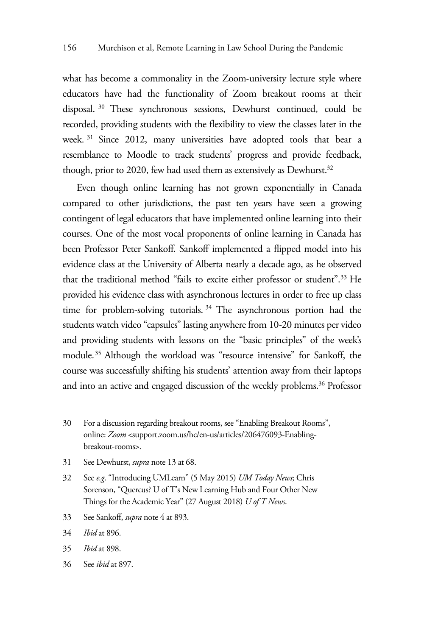what has become a commonality in the Zoom-university lecture style where educators have had the functionality of Zoom breakout rooms at their disposal. 30 These synchronous sessions, Dewhurst continued, could be recorded, providing students with the flexibility to view the classes later in the week. 31 Since 2012, many universities have adopted tools that bear a resemblance to Moodle to track students' progress and provide feedback, though, prior to 2020, few had used them as extensively as Dewhurst.<sup>32</sup>

Even though online learning has not grown exponentially in Canada compared to other jurisdictions, the past ten years have seen a growing contingent of legal educators that have implemented online learning into their courses. One of the most vocal proponents of online learning in Canada has been Professor Peter Sankoff. Sankoff implemented a flipped model into his evidence class at the University of Alberta nearly a decade ago, as he observed that the traditional method "fails to excite either professor or student".33 He provided his evidence class with asynchronous lectures in order to free up class time for problem-solving tutorials. 34 The asynchronous portion had the students watch video "capsules" lasting anywhere from 10-20 minutes per video and providing students with lessons on the "basic principles" of the week's module.35 Although the workload was "resource intensive" for Sankoff, the course was successfully shifting his students' attention away from their laptops and into an active and engaged discussion of the weekly problems.<sup>36</sup> Professor

- 31 See Dewhurst, *supra* note 13 at 68.
- 32 See *e.g*. "Introducing UMLearn" (5 May 2015) *UM Today News*; Chris Sorenson, "Quercus? U of T's New Learning Hub and Four Other New Things for the Academic Year" (27 August 2018) *U of T News*.
- 33 See Sankoff, *supra* note 4 at 893.
- 34 *Ibid* at 896.
- 35 *Ibid* at 898.
- 36 See *ibid* at 897.

<sup>30</sup> For a discussion regarding breakout rooms, see "Enabling Breakout Rooms", online: *Zoom* <support.zoom.us/hc/en-us/articles/206476093-Enablingbreakout-rooms>.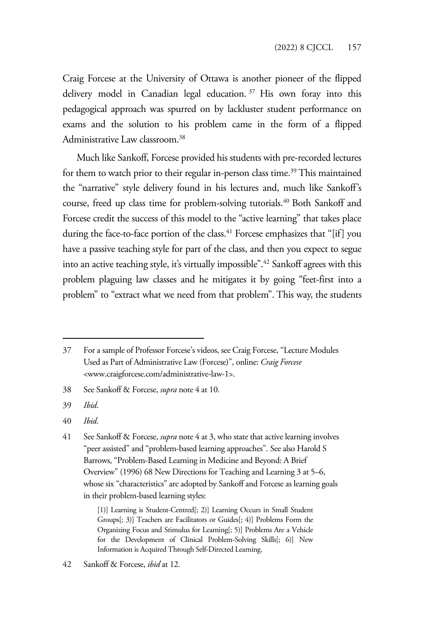Craig Forcese at the University of Ottawa is another pioneer of the flipped delivery model in Canadian legal education. 37 His own foray into this pedagogical approach was spurred on by lackluster student performance on exams and the solution to his problem came in the form of a flipped Administrative Law classroom.<sup>38</sup>

Much like Sankoff, Forcese provided his students with pre-recorded lectures for them to watch prior to their regular in-person class time.<sup>39</sup> This maintained the "narrative" style delivery found in his lectures and, much like Sankoff's course, freed up class time for problem-solving tutorials.<sup>40</sup> Both Sankoff and Forcese credit the success of this model to the "active learning" that takes place during the face-to-face portion of the class.<sup>41</sup> Forcese emphasizes that "[if] you have a passive teaching style for part of the class, and then you expect to segue into an active teaching style, it's virtually impossible".42 Sankoff agrees with this problem plaguing law classes and he mitigates it by going "feet-first into a problem" to "extract what we need from that problem". This way, the students

- 38 See Sankoff & Forcese, *supra* note 4 at 10.
- 39 *Ibid*.
- 40 *Ibid*.

<sup>37</sup> For a sample of Professor Forcese's videos, see Craig Forcese, "Lecture Modules Used as Part of Administrative Law (Forcese)", online: *Craig Forcese* <www.craigforcese.com/administrative-law-1>.

<sup>41</sup> See Sankoff & Forcese, *supra* note 4 at 3, who state that active learning involves "peer assisted" and "problem-based learning approaches". See also Harold S Barrows, "Problem-Based Learning in Medicine and Beyond: A Brief Overview" (1996) 68 New Directions for Teaching and Learning 3 at 5–6, whose six "characteristics" are adopted by Sankoff and Forcese as learning goals in their problem-based learning styles:

<sup>[1]]</sup> Learning is Student-Centred[; 2)] Learning Occurs in Small Student Groups[; 3)] Teachers are Facilitators or Guides[; 4)] Problems Form the Organizing Focus and Stimulus for Learning[; 5)] Problems Are a Vehicle for the Development of Clinical Problem-Solving Skills[; 6)] New Information is Acquired Through Self-Directed Learning.

<sup>42</sup> Sankoff & Forcese, *ibid* at 12.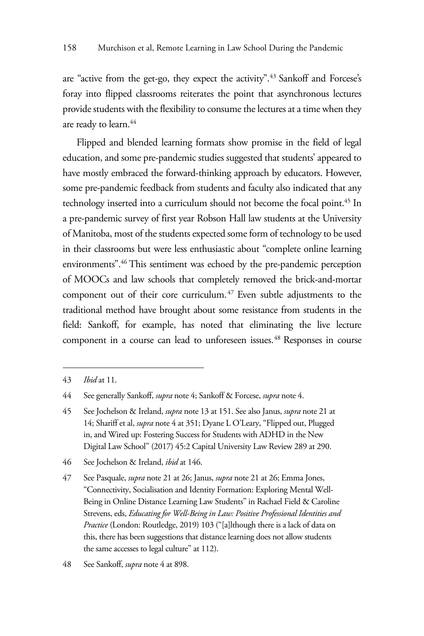are "active from the get-go, they expect the activity".<sup>43</sup> Sankoff and Forcese's foray into flipped classrooms reiterates the point that asynchronous lectures provide students with the flexibility to consume the lectures at a time when they are ready to learn.<sup>44</sup>

Flipped and blended learning formats show promise in the field of legal education, and some pre-pandemic studies suggested that students' appeared to have mostly embraced the forward-thinking approach by educators. However, some pre-pandemic feedback from students and faculty also indicated that any technology inserted into a curriculum should not become the focal point.<sup>45</sup> In a pre-pandemic survey of first year Robson Hall law students at the University of Manitoba, most of the students expected some form of technology to be used in their classrooms but were less enthusiastic about "complete online learning environments".46 This sentiment was echoed by the pre-pandemic perception of MOOCs and law schools that completely removed the brick-and-mortar component out of their core curriculum.<sup>47</sup> Even subtle adjustments to the traditional method have brought about some resistance from students in the field: Sankoff, for example, has noted that eliminating the live lecture component in a course can lead to unforeseen issues.<sup>48</sup> Responses in course

46 See Jochelson & Ireland, *ibid* at 146.

<sup>43</sup> *Ibid* at 11.

<sup>44</sup> See generally Sankoff, *supra* note 4; Sankoff & Forcese, *supra* note 4.

<sup>45</sup> See Jochelson & Ireland, *supra* note 13 at 151. See also Janus, *supra* note 21 at 14; Shariff et al, *supra* note 4 at 351; Dyane L O'Leary, "Flipped out, Plugged in, and Wired up: Fostering Success for Students with ADHD in the New Digital Law School" (2017) 45:2 Capital University Law Review 289 at 290.

<sup>47</sup> See Pasquale, *supra* note 21 at 26; Janus, *supra* note 21 at 26; Emma Jones, "Connectivity, Socialisation and Identity Formation: Exploring Mental Well-Being in Online Distance Learning Law Students" in Rachael Field & Caroline Strevens, eds, *Educating for Well-Being in Law: Positive Professional Identities and Practice* (London: Routledge, 2019) 103 ("[a]lthough there is a lack of data on this, there has been suggestions that distance learning does not allow students the same accesses to legal culture" at 112).

<sup>48</sup> See Sankoff, *supra* note 4 at 898.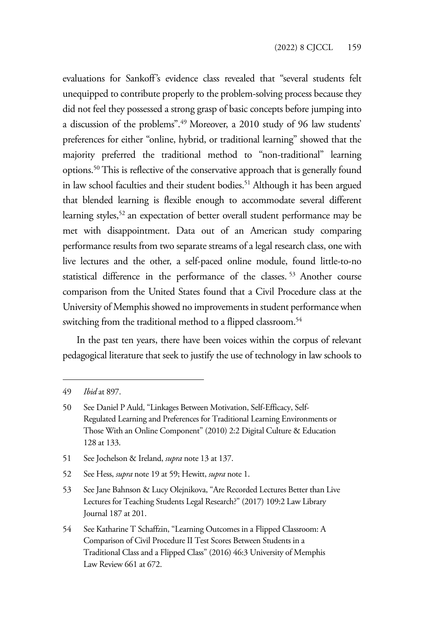evaluations for Sankoff's evidence class revealed that "several students felt unequipped to contribute properly to the problem-solving process because they did not feel they possessed a strong grasp of basic concepts before jumping into a discussion of the problems".49 Moreover, a 2010 study of 96 law students' preferences for either "online, hybrid, or traditional learning" showed that the majority preferred the traditional method to "non-traditional" learning options.50 This is reflective of the conservative approach that is generally found in law school faculties and their student bodies.<sup>51</sup> Although it has been argued that blended learning is flexible enough to accommodate several different learning styles,<sup>52</sup> an expectation of better overall student performance may be met with disappointment. Data out of an American study comparing performance results from two separate streams of a legal research class, one with live lectures and the other, a self-paced online module, found little-to-no statistical difference in the performance of the classes. 53 Another course comparison from the United States found that a Civil Procedure class at the University of Memphis showed no improvements in student performance when switching from the traditional method to a flipped classroom.<sup>54</sup>

In the past ten years, there have been voices within the corpus of relevant pedagogical literature that seek to justify the use of technology in law schools to

- 51 See Jochelson & Ireland, *supra* note 13 at 137.
- 52 See Hess, *supra* note 19 at 59; Hewitt, *supra* note 1.

<sup>49</sup> *Ibid* at 897.

<sup>50</sup> See Daniel P Auld, "Linkages Between Motivation, Self-Efficacy, Self-Regulated Learning and Preferences for Traditional Learning Environments or Those With an Online Component" (2010) 2:2 Digital Culture & Education 128 at 133.

<sup>53</sup> See Jane Bahnson & Lucy Olejnikova, "Are Recorded Lectures Better than Live Lectures for Teaching Students Legal Research?" (2017) 109:2 Law Library Journal 187 at 201.

<sup>54</sup> See Katharine T Schaffzin, "Learning Outcomes in a Flipped Classroom: A Comparison of Civil Procedure II Test Scores Between Students in a Traditional Class and a Flipped Class" (2016) 46:3 University of Memphis Law Review 661 at 672.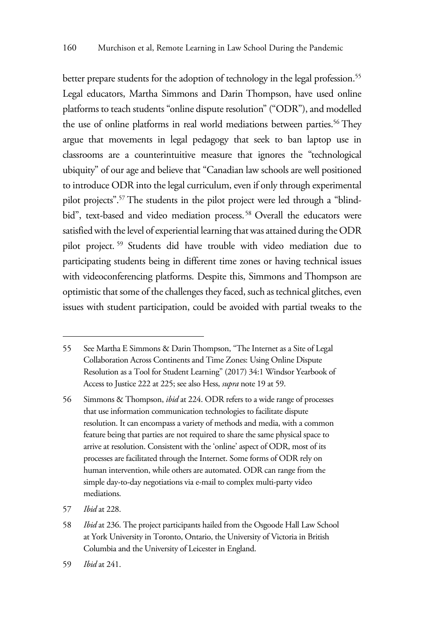better prepare students for the adoption of technology in the legal profession.<sup>55</sup> Legal educators, Martha Simmons and Darin Thompson, have used online platforms to teach students "online dispute resolution" ("ODR"), and modelled the use of online platforms in real world mediations between parties.<sup>56</sup> They argue that movements in legal pedagogy that seek to ban laptop use in classrooms are a counterintuitive measure that ignores the "technological ubiquity" of our age and believe that "Canadian law schools are well positioned to introduce ODR into the legal curriculum, even if only through experimental pilot projects".57 The students in the pilot project were led through a "blindbid", text-based and video mediation process.<sup>58</sup> Overall the educators were satisfied with the level of experiential learning that was attained during the ODR pilot project. 59 Students did have trouble with video mediation due to participating students being in different time zones or having technical issues with videoconferencing platforms. Despite this, Simmons and Thompson are optimistic that some of the challenges they faced, such as technical glitches, even issues with student participation, could be avoided with partial tweaks to the

<sup>55</sup> See Martha E Simmons & Darin Thompson, "The Internet as a Site of Legal Collaboration Across Continents and Time Zones: Using Online Dispute Resolution as a Tool for Student Learning" (2017) 34:1 Windsor Yearbook of Access to Justice 222 at 225; see also Hess, *supra* note 19 at 59.

<sup>56</sup> Simmons & Thompson, *ibid* at 224. ODR refers to a wide range of processes that use information communication technologies to facilitate dispute resolution. It can encompass a variety of methods and media, with a common feature being that parties are not required to share the same physical space to arrive at resolution. Consistent with the 'online' aspect of ODR, most of its processes are facilitated through the Internet. Some forms of ODR rely on human intervention, while others are automated. ODR can range from the simple day-to-day negotiations via e-mail to complex multi-party video mediations.

<sup>57</sup> *Ibid* at 228.

<sup>58</sup> *Ibid* at 236. The project participants hailed from the Osgoode Hall Law School at York University in Toronto, Ontario, the University of Victoria in British Columbia and the University of Leicester in England.

<sup>59</sup> *Ibid* at 241.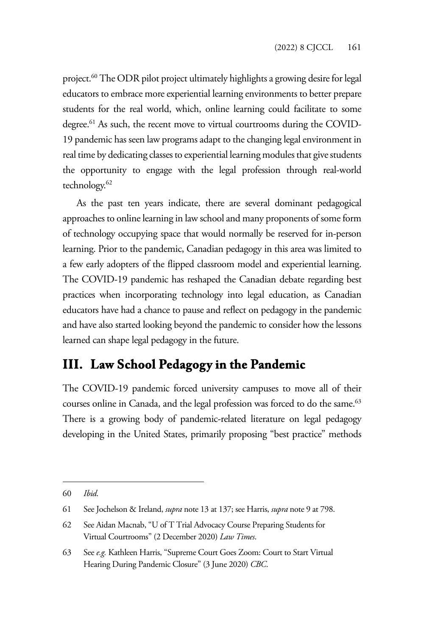project.<sup>60</sup> The ODR pilot project ultimately highlights a growing desire for legal educators to embrace more experiential learning environments to better prepare students for the real world, which, online learning could facilitate to some degree.<sup>61</sup> As such, the recent move to virtual courtrooms during the COVID-19 pandemic has seen law programs adapt to the changing legal environment in real time by dedicating classes to experiential learning modules that give students the opportunity to engage with the legal profession through real-world technology.<sup>62</sup>

As the past ten years indicate, there are several dominant pedagogical approaches to online learning in law school and many proponents of some form of technology occupying space that would normally be reserved for in-person learning. Prior to the pandemic, Canadian pedagogy in this area was limited to a few early adopters of the flipped classroom model and experiential learning. The COVID-19 pandemic has reshaped the Canadian debate regarding best practices when incorporating technology into legal education, as Canadian educators have had a chance to pause and reflect on pedagogy in the pandemic and have also started looking beyond the pandemic to consider how the lessons learned can shape legal pedagogy in the future.

# **III. Law School Pedagogy in the Pandemic**

The COVID-19 pandemic forced university campuses to move all of their courses online in Canada, and the legal profession was forced to do the same.<sup>63</sup> There is a growing body of pandemic-related literature on legal pedagogy developing in the United States, primarily proposing "best practice" methods

<sup>60</sup> *Ibid*.

<sup>61</sup> See Jochelson & Ireland, *supra* note 13 at 137; see Harris, *supra* note 9 at 798.

<sup>62</sup> See Aidan Macnab, "U of T Trial Advocacy Course Preparing Students for Virtual Courtrooms" (2 December 2020) *Law Times*.

<sup>63</sup> See *e.g.* Kathleen Harris, "Supreme Court Goes Zoom: Court to Start Virtual Hearing During Pandemic Closure" (3 June 2020) *CBC*.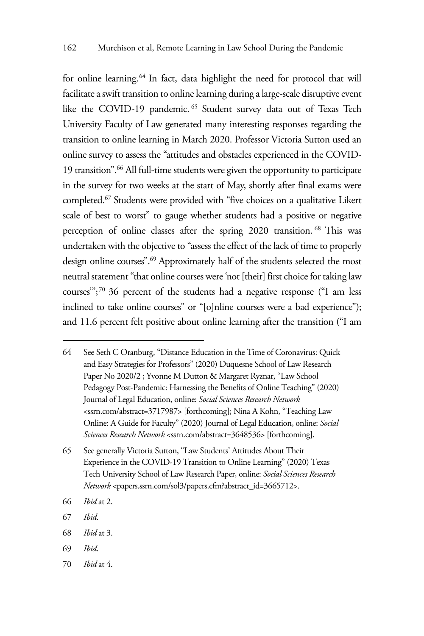for online learning.<sup>64</sup> In fact, data highlight the need for protocol that will facilitate a swift transition to online learning during a large-scale disruptive event like the COVID-19 pandemic. 65 Student survey data out of Texas Tech University Faculty of Law generated many interesting responses regarding the transition to online learning in March 2020. Professor Victoria Sutton used an online survey to assess the "attitudes and obstacles experienced in the COVID-19 transition".66 All full-time students were given the opportunity to participate in the survey for two weeks at the start of May, shortly after final exams were completed.67 Students were provided with "five choices on a qualitative Likert scale of best to worst" to gauge whether students had a positive or negative perception of online classes after the spring 2020 transition. 68 This was undertaken with the objective to "assess the effect of the lack of time to properly design online courses".69 Approximately half of the students selected the most neutral statement "that online courses were 'not [their] first choice for taking law courses'";70 36 percent of the students had a negative response ("I am less inclined to take online courses" or "[o]nline courses were a bad experience"); and 11.6 percent felt positive about online learning after the transition ("I am

- 68 *Ibid* at 3.
- 69 *Ibid*.
- 70 *Ibid* at 4.

<sup>64</sup> See Seth C Oranburg, "Distance Education in the Time of Coronavirus: Quick and Easy Strategies for Professors" (2020) Duquesne School of Law Research Paper No 2020/2 ; Yvonne M Dutton & Margaret Ryznar, "Law School Pedagogy Post-Pandemic: Harnessing the Benefits of Online Teaching" (2020) Journal of Legal Education, online: *Social Sciences Research Network* <ssrn.com/abstract=3717987> [forthcoming]; Nina A Kohn, "Teaching Law Online: A Guide for Faculty" (2020) Journal of Legal Education, online: *Social Sciences Research Network* <ssrn.com/abstract=3648536> [forthcoming].

<sup>65</sup> See generally Victoria Sutton, "Law Students' Attitudes About Their Experience in the COVID-19 Transition to Online Learning" (2020) Texas Tech University School of Law Research Paper, online: *Social Sciences Research Network* <papers.ssrn.com/sol3/papers.cfm?abstract\_id=3665712>.

<sup>66</sup> *Ibid* at 2.

<sup>67</sup> *Ibid*.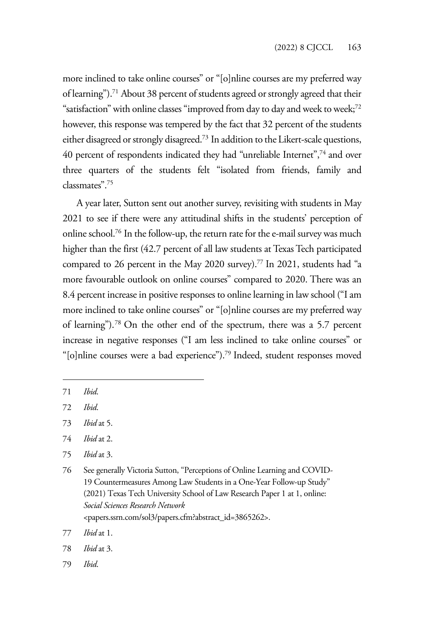more inclined to take online courses" or "[o]nline courses are my preferred way of learning").71 About 38 percent of students agreed or strongly agreed that their "satisfaction" with online classes "improved from day to day and week to week;<sup>72</sup> however, this response was tempered by the fact that 32 percent of the students either disagreed or strongly disagreed.73 In addition to the Likert-scale questions, 40 percent of respondents indicated they had "unreliable Internet",74 and over three quarters of the students felt "isolated from friends, family and classmates".75

A year later, Sutton sent out another survey, revisiting with students in May 2021 to see if there were any attitudinal shifts in the students' perception of online school.76 In the follow-up, the return rate for the e-mail survey was much higher than the first (42.7 percent of all law students at Texas Tech participated compared to 26 percent in the May 2020 survey).77 In 2021, students had "a more favourable outlook on online courses" compared to 2020. There was an 8.4 percent increase in positive responses to online learning in law school ("I am more inclined to take online courses" or "[o]nline courses are my preferred way of learning").78 On the other end of the spectrum, there was a 5.7 percent increase in negative responses ("I am less inclined to take online courses" or "[o]nline courses were a bad experience").79 Indeed, student responses moved

79 *Ibid*.

<sup>71</sup> *Ibid*.

<sup>72</sup> *Ibid*.

<sup>73</sup> *Ibid* at 5.

<sup>74</sup> *Ibid* at 2.

<sup>75</sup> *Ibid* at 3.

<sup>76</sup> See generally Victoria Sutton, "Perceptions of Online Learning and COVID-19 Countermeasures Among Law Students in a One-Year Follow-up Study" (2021) Texas Tech University School of Law Research Paper 1 at 1, online: *Social Sciences Research Network* <papers.ssrn.com/sol3/papers.cfm?abstract\_id=3865262>.

<sup>77</sup> *Ibid* at 1.

<sup>78</sup> *Ibid* at 3.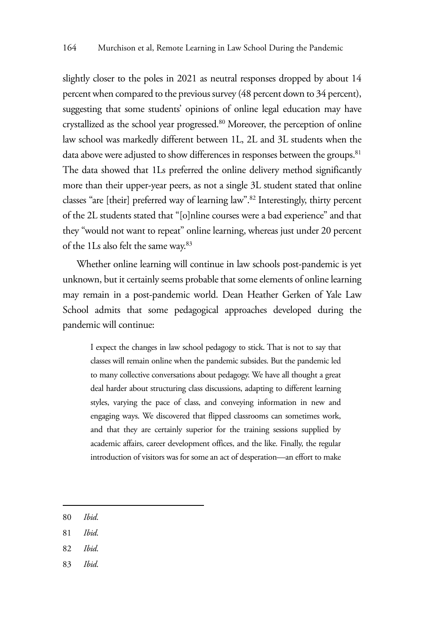slightly closer to the poles in 2021 as neutral responses dropped by about 14 percent when compared to the previous survey (48 percent down to 34 percent), suggesting that some students' opinions of online legal education may have crystallized as the school year progressed.80 Moreover, the perception of online law school was markedly different between 1L, 2L and 3L students when the data above were adjusted to show differences in responses between the groups.<sup>81</sup> The data showed that 1Ls preferred the online delivery method significantly more than their upper-year peers, as not a single 3L student stated that online classes "are [their] preferred way of learning law".82 Interestingly, thirty percent of the 2L students stated that "[o]nline courses were a bad experience" and that they "would not want to repeat" online learning, whereas just under 20 percent of the 1Ls also felt the same way.83

Whether online learning will continue in law schools post-pandemic is yet unknown, but it certainly seems probable that some elements of online learning may remain in a post-pandemic world. Dean Heather Gerken of Yale Law School admits that some pedagogical approaches developed during the pandemic will continue:

I expect the changes in law school pedagogy to stick. That is not to say that classes will remain online when the pandemic subsides. But the pandemic led to many collective conversations about pedagogy. We have all thought a great deal harder about structuring class discussions, adapting to different learning styles, varying the pace of class, and conveying information in new and engaging ways. We discovered that flipped classrooms can sometimes work, and that they are certainly superior for the training sessions supplied by academic affairs, career development offices, and the like. Finally, the regular introduction of visitors was for some an act of desperation—an effort to make

- 80 *Ibid*.
- 81 *Ibid*.
- 82 *Ibid*.
- 83 *Ibid*.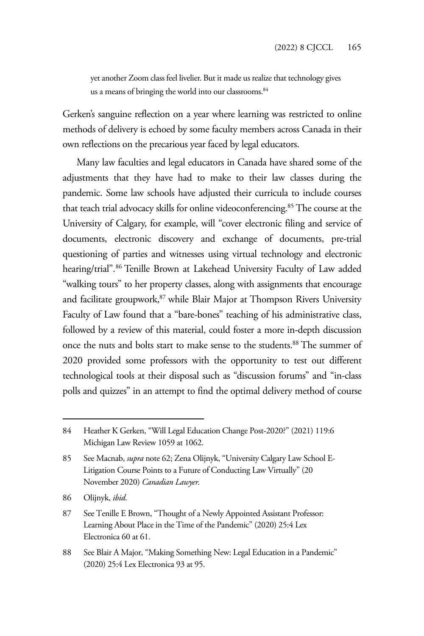yet another Zoom class feel livelier. But it made us realize that technology gives us a means of bringing the world into our classrooms.<sup>84</sup>

Gerken's sanguine reflection on a year where learning was restricted to online methods of delivery is echoed by some faculty members across Canada in their own reflections on the precarious year faced by legal educators.

Many law faculties and legal educators in Canada have shared some of the adjustments that they have had to make to their law classes during the pandemic. Some law schools have adjusted their curricula to include courses that teach trial advocacy skills for online videoconferencing.85 The course at the University of Calgary, for example, will "cover electronic filing and service of documents, electronic discovery and exchange of documents, pre-trial questioning of parties and witnesses using virtual technology and electronic hearing/trial".86 Tenille Brown at Lakehead University Faculty of Law added "walking tours" to her property classes, along with assignments that encourage and facilitate groupwork,<sup>87</sup> while Blair Major at Thompson Rivers University Faculty of Law found that a "bare-bones" teaching of his administrative class, followed by a review of this material, could foster a more in-depth discussion once the nuts and bolts start to make sense to the students.<sup>88</sup> The summer of 2020 provided some professors with the opportunity to test out different technological tools at their disposal such as "discussion forums" and "in-class polls and quizzes" in an attempt to find the optimal delivery method of course

<sup>84</sup> Heather K Gerken, "Will Legal Education Change Post-2020?" (2021) 119:6 Michigan Law Review 1059 at 1062.

<sup>85</sup> See Macnab, *supra* note 62; Zena Olijnyk, "University Calgary Law School E-Litigation Course Points to a Future of Conducting Law Virtually" (20 November 2020) *Canadian Lawyer.*

<sup>86</sup> Olijnyk, *ibid*.

<sup>87</sup> See Tenille E Brown, "Thought of a Newly Appointed Assistant Professor: Learning About Place in the Time of the Pandemic" (2020) 25:4 Lex Electronica 60 at 61.

<sup>88</sup> See Blair A Major, "Making Something New: Legal Education in a Pandemic" (2020) 25:4 Lex Electronica 93 at 95.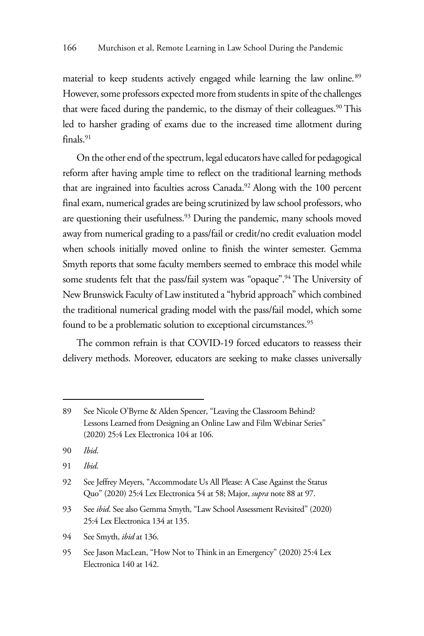material to keep students actively engaged while learning the law online.<sup>89</sup> However, some professors expected more from students in spite of the challenges that were faced during the pandemic, to the dismay of their colleagues.<sup>90</sup> This led to harsher grading of exams due to the increased time allotment during finals.91

On the other end of the spectrum, legal educators have called for pedagogical reform after having ample time to reflect on the traditional learning methods that are ingrained into faculties across Canada.<sup>92</sup> Along with the 100 percent final exam, numerical grades are being scrutinized by law school professors, who are questioning their usefulness.<sup>93</sup> During the pandemic, many schools moved away from numerical grading to a pass/fail or credit/no credit evaluation model when schools initially moved online to finish the winter semester. Gemma Smyth reports that some faculty members seemed to embrace this model while some students felt that the pass/fail system was "opaque".<sup>94</sup> The University of New Brunswick Faculty of Law instituted a "hybrid approach" which combined the traditional numerical grading model with the pass/fail model, which some found to be a problematic solution to exceptional circumstances.<sup>95</sup>

The common refrain is that COVID-19 forced educators to reassess their delivery methods. Moreover, educators are seeking to make classes universally

94 See Smyth, *ibid* at 136.

<sup>89</sup> See Nicole O'Byrne & Alden Spencer, "Leaving the Classroom Behind? Lessons Learned from Designing an Online Law and Film Webinar Series" (2020) 25:4 Lex Electronica 104 at 106.

<sup>90</sup> *Ibid*.

<sup>91</sup> *Ibid*.

<sup>92</sup> See Jeffrey Meyers, "Accommodate Us All Please: A Case Against the Status Quo" (2020) 25:4 Lex Electronica 54 at 58; Major, *supra* note 88 at 97.

<sup>93</sup> See *ibid*. See also Gemma Smyth, "Law School Assessment Revisited" (2020) 25:4 Lex Electronica 134 at 135.

<sup>95</sup> See Jason MacLean, "How Not to Think in an Emergency" (2020) 25:4 Lex Electronica 140 at 142.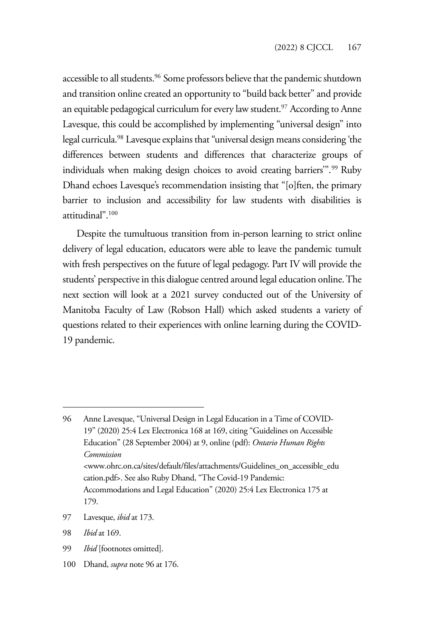accessible to all students.<sup>96</sup> Some professors believe that the pandemic shutdown and transition online created an opportunity to "build back better" and provide an equitable pedagogical curriculum for every law student.<sup>97</sup> According to Anne Lavesque, this could be accomplished by implementing "universal design" into legal curricula.98 Lavesque explains that "universal design means considering 'the differences between students and differences that characterize groups of individuals when making design choices to avoid creating barriers".<sup>99</sup> Ruby Dhand echoes Lavesque's recommendation insisting that "[o]ften, the primary barrier to inclusion and accessibility for law students with disabilities is attitudinal".100

Despite the tumultuous transition from in-person learning to strict online delivery of legal education, educators were able to leave the pandemic tumult with fresh perspectives on the future of legal pedagogy. Part IV will provide the students' perspective in this dialogue centred around legal education online. The next section will look at a 2021 survey conducted out of the University of Manitoba Faculty of Law (Robson Hall) which asked students a variety of questions related to their experiences with online learning during the COVID-19 pandemic.

- 99 *Ibid* [footnotes omitted].
- 100 Dhand, *supra* note 96 at 176.

<sup>96</sup> Anne Lavesque, "Universal Design in Legal Education in a Time of COVID-19" (2020) 25:4 Lex Electronica 168 at 169, citing "Guidelines on Accessible Education" (28 September 2004) at 9, online (pdf): *Ontario Human Rights Commission* <www.ohrc.on.ca/sites/default/files/attachments/Guidelines\_on\_accessible\_edu cation.pdf>. See also Ruby Dhand, "The Covid-19 Pandemic: Accommodations and Legal Education" (2020) 25:4 Lex Electronica 175 at 179.

<sup>97</sup> Lavesque, *ibid* at 173.

<sup>98</sup> *Ibid* at 169.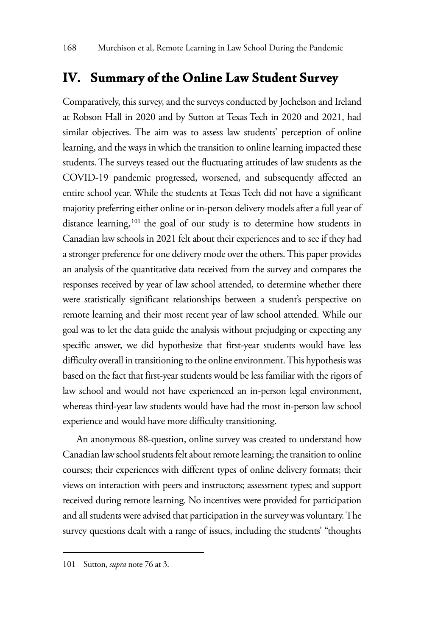## **IV. Summary of the Online Law Student Survey**

Comparatively, this survey, and the surveys conducted by Jochelson and Ireland at Robson Hall in 2020 and by Sutton at Texas Tech in 2020 and 2021, had similar objectives. The aim was to assess law students' perception of online learning, and the ways in which the transition to online learning impacted these students. The surveys teased out the fluctuating attitudes of law students as the COVID-19 pandemic progressed, worsened, and subsequently affected an entire school year. While the students at Texas Tech did not have a significant majority preferring either online or in-person delivery models after a full year of distance learning,<sup>101</sup> the goal of our study is to determine how students in Canadian law schools in 2021 felt about their experiences and to see if they had a stronger preference for one delivery mode over the others. This paper provides an analysis of the quantitative data received from the survey and compares the responses received by year of law school attended, to determine whether there were statistically significant relationships between a student's perspective on remote learning and their most recent year of law school attended. While our goal was to let the data guide the analysis without prejudging or expecting any specific answer, we did hypothesize that first-year students would have less difficulty overall in transitioning to the online environment. This hypothesis was based on the fact that first-year students would be less familiar with the rigors of law school and would not have experienced an in-person legal environment, whereas third-year law students would have had the most in-person law school experience and would have more difficulty transitioning.

An anonymous 88-question, online survey was created to understand how Canadian law school students felt about remote learning; the transition to online courses; their experiences with different types of online delivery formats; their views on interaction with peers and instructors; assessment types; and support received during remote learning. No incentives were provided for participation and all students were advised that participation in the survey was voluntary. The survey questions dealt with a range of issues, including the students' "thoughts

<sup>101</sup> Sutton, *supra* note 76 at 3.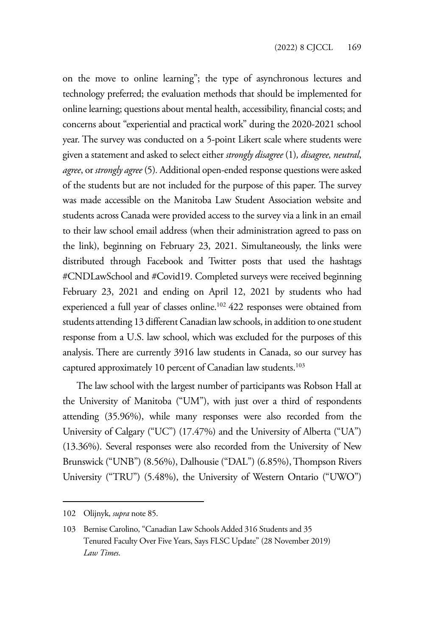on the move to online learning"; the type of asynchronous lectures and technology preferred; the evaluation methods that should be implemented for online learning; questions about mental health, accessibility, financial costs; and concerns about "experiential and practical work" during the 2020-2021 school year. The survey was conducted on a 5-point Likert scale where students were given a statement and asked to select either *strongly disagree* (1)*, disagree, neutral*, *agree*, or *strongly agree* (5)*.* Additional open-ended response questions were asked of the students but are not included for the purpose of this paper. The survey was made accessible on the Manitoba Law Student Association website and students across Canada were provided access to the survey via a link in an email to their law school email address (when their administration agreed to pass on the link), beginning on February 23, 2021. Simultaneously, the links were distributed through Facebook and Twitter posts that used the hashtags #CNDLawSchool and #Covid19. Completed surveys were received beginning February 23, 2021 and ending on April 12, 2021 by students who had experienced a full year of classes online.102 422 responses were obtained from students attending 13 different Canadian law schools, in addition to one student response from a U.S. law school, which was excluded for the purposes of this analysis. There are currently 3916 law students in Canada, so our survey has captured approximately 10 percent of Canadian law students.<sup>103</sup>

The law school with the largest number of participants was Robson Hall at the University of Manitoba ("UM"), with just over a third of respondents attending (35.96%), while many responses were also recorded from the University of Calgary ("UC") (17.47%) and the University of Alberta ("UA") (13.36%). Several responses were also recorded from the University of New Brunswick ("UNB") (8.56%), Dalhousie ("DAL") (6.85%), Thompson Rivers University ("TRU") (5.48%), the University of Western Ontario ("UWO")

<sup>102</sup> Olijnyk, *supra* note 85.

<sup>103</sup> Bernise Carolino, "Canadian Law Schools Added 316 Students and 35 Tenured Faculty Over Five Years, Says FLSC Update" (28 November 2019) *Law Times*.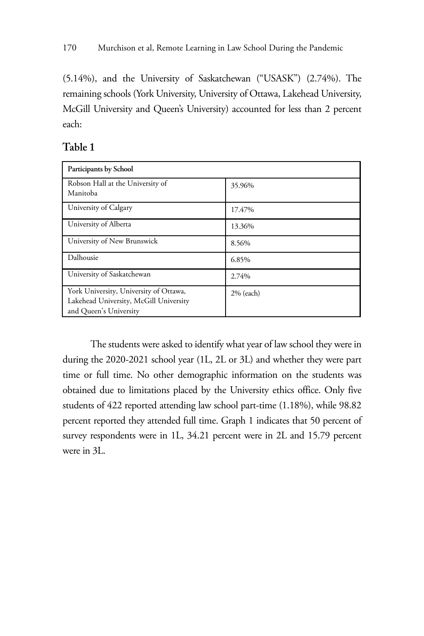(5.14%), and the University of Saskatchewan ("USASK") (2.74%). The remaining schools (York University, University of Ottawa, Lakehead University, McGill University and Queen's University) accounted for less than 2 percent each:

| Participants by School                                                                                     |              |  |  |  |
|------------------------------------------------------------------------------------------------------------|--------------|--|--|--|
| Robson Hall at the University of<br>Manitoba                                                               | 35.96%       |  |  |  |
| University of Calgary                                                                                      | 17.47%       |  |  |  |
| University of Alberta                                                                                      | 13.36%       |  |  |  |
| University of New Brunswick                                                                                | 8.56%        |  |  |  |
| Dalhousie                                                                                                  | 6.85%        |  |  |  |
| University of Saskatchewan                                                                                 | 2.74%        |  |  |  |
| York University, University of Ottawa,<br>Lakehead University, McGill University<br>and Queen's University | $2\%$ (each) |  |  |  |

#### **Table 1**

The students were asked to identify what year of law school they were in during the 2020-2021 school year (1L, 2L or 3L) and whether they were part time or full time. No other demographic information on the students was obtained due to limitations placed by the University ethics office. Only five students of 422 reported attending law school part-time (1.18%), while 98.82 percent reported they attended full time. Graph 1 indicates that 50 percent of survey respondents were in 1L, 34.21 percent were in 2L and 15.79 percent were in 3L.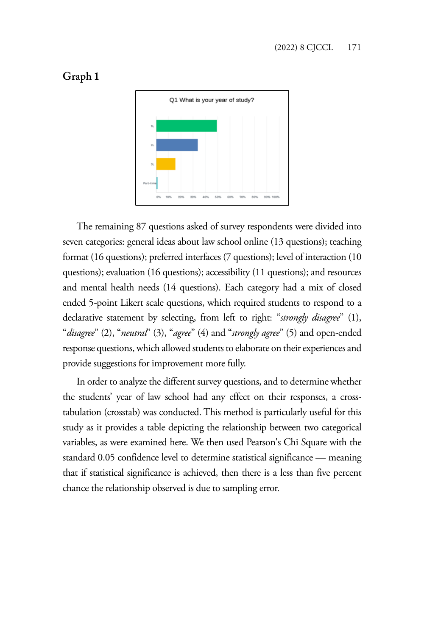



The remaining 87 questions asked of survey respondents were divided into seven categories: general ideas about law school online (13 questions); teaching format (16 questions); preferred interfaces (7 questions); level of interaction (10 questions); evaluation (16 questions); accessibility (11 questions); and resources and mental health needs (14 questions). Each category had a mix of closed ended 5-point Likert scale questions, which required students to respond to a declarative statement by selecting, from left to right: "*strongly disagree*" (1), "*disagree*" (2), "*neutral*" (3), "*agree*" (4) and "*strongly agree*" (5) and open-ended response questions, which allowed students to elaborate on their experiences and provide suggestions for improvement more fully.

In order to analyze the different survey questions, and to determine whether the students' year of law school had any effect on their responses, a crosstabulation (crosstab) was conducted. This method is particularly useful for this study as it provides a table depicting the relationship between two categorical variables, as were examined here. We then used Pearson's Chi Square with the standard 0.05 confidence level to determine statistical significance — meaning that if statistical significance is achieved, then there is a less than five percent chance the relationship observed is due to sampling error.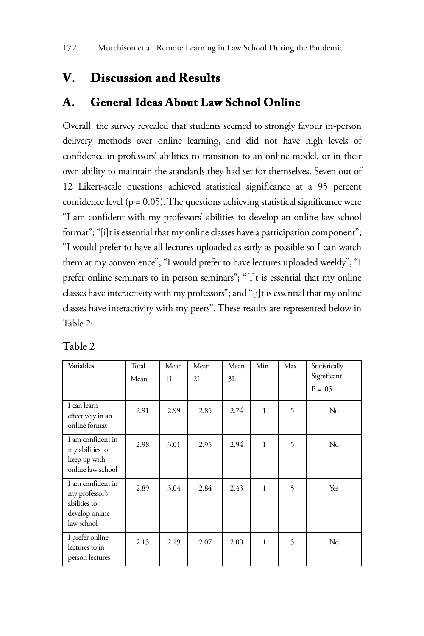# **V. Discussion and Results**

# **A. General Ideas About Law School Online**

Overall, the survey revealed that students seemed to strongly favour in-person delivery methods over online learning, and did not have high levels of confidence in professors' abilities to transition to an online model, or in their own ability to maintain the standards they had set for themselves. Seven out of 12 Likert-scale questions achieved statistical significance at a 95 percent confidence level ( $p = 0.05$ ). The questions achieving statistical significance were "I am confident with my professors' abilities to develop an online law school format"; "[i]t is essential that my online classes have a participation component"; "I would prefer to have all lectures uploaded as early as possible so I can watch them at my convenience"; "I would prefer to have lectures uploaded weekly"; "I prefer online seminars to in person seminars"; "[i]t is essential that my online classes have interactivity with my professors"; and "[i]t is essential that my online classes have interactivity with my peers". These results are represented below in Table 2:

| Variables                                                                           | Total<br>Mean | Mean<br>1L | Mean<br>2I. | Mean<br>3L | Min          | Max | Statistically<br>Significant<br>$P = .05$ |
|-------------------------------------------------------------------------------------|---------------|------------|-------------|------------|--------------|-----|-------------------------------------------|
| I can learn<br>effectively in an<br>online format                                   | 2.91          | 2.99       | 2.85        | 2.74       | $\mathbf{1}$ | 5   | $\rm No$                                  |
| I am confident in<br>my abilities to<br>keep up with<br>online law school           | 2.98          | 3.01       | 2.95        | 2.94       | 1            | 5   | $\rm No$                                  |
| I am confident in<br>my professor's<br>abilities to<br>develop online<br>law school | 2.89          | 3.04       | 2.84        | 2.43       | 1            | 5   | Yes                                       |
| I prefer online<br>lectures to in<br>person lectures                                | 2.15          | 2.19       | 2.07        | 2.00       | 1            | 5   | $\rm No$                                  |

| able) |  |
|-------|--|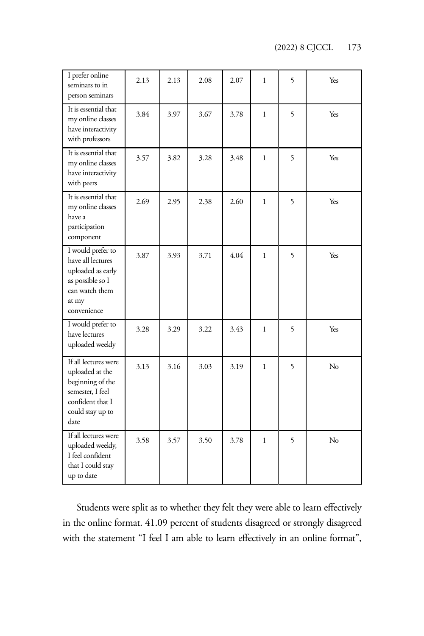(2022) 8 CJCCL 173

| I prefer online<br>seminars to in<br>person seminars                                                                            | 2.13 | 2.13 | 2.08 | 2.07 | 1            | 5 | Yes |
|---------------------------------------------------------------------------------------------------------------------------------|------|------|------|------|--------------|---|-----|
| It is essential that<br>my online classes<br>have interactivity<br>with professors                                              | 3.84 | 3.97 | 3.67 | 3.78 | $\mathbf{1}$ | 5 | Yes |
| It is essential that<br>my online classes<br>have interactivity<br>with peers                                                   | 3.57 | 3.82 | 3.28 | 3.48 | 1            | 5 | Yes |
| It is essential that<br>my online classes<br>have a<br>participation<br>component                                               | 2.69 | 2.95 | 2.38 | 2.60 | $\mathbf{1}$ | 5 | Yes |
| I would prefer to<br>have all lectures<br>uploaded as early<br>as possible so I<br>can watch them<br>at my<br>convenience       | 3.87 | 3.93 | 3.71 | 4.04 | 1            | 5 | Yes |
| I would prefer to<br>have lectures<br>uploaded weekly                                                                           | 3.28 | 3.29 | 3.22 | 3.43 | 1            | 5 | Yes |
| If all lectures were<br>uploaded at the<br>beginning of the<br>semester, I feel<br>confident that I<br>could stay up to<br>date | 3.13 | 3.16 | 3.03 | 3.19 | $\mathbf{1}$ | 5 | No  |
| If all lectures were<br>uploaded weekly,<br>I feel confident<br>that I could stay<br>up to date                                 | 3.58 | 3.57 | 3.50 | 3.78 | 1            | 5 | No  |

Students were split as to whether they felt they were able to learn effectively in the online format. 41.09 percent of students disagreed or strongly disagreed with the statement "I feel I am able to learn effectively in an online format",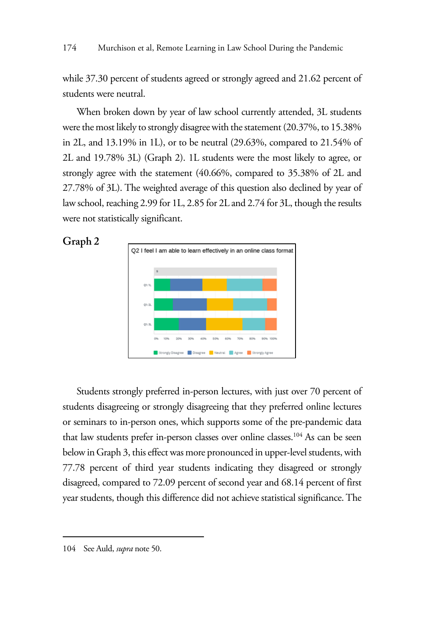while 37.30 percent of students agreed or strongly agreed and 21.62 percent of students were neutral.

When broken down by year of law school currently attended, 3L students were the most likely to strongly disagree with the statement (20.37%, to 15.38% in 2L, and 13.19% in 1L), or to be neutral (29.63%, compared to 21.54% of 2L and 19.78% 3L) (Graph 2). 1L students were the most likely to agree, or strongly agree with the statement (40.66%, compared to 35.38% of 2L and 27.78% of 3L). The weighted average of this question also declined by year of law school, reaching 2.99 for 1L, 2.85 for 2L and 2.74 for 3L, though the results were not statistically significant.





Students strongly preferred in-person lectures, with just over 70 percent of students disagreeing or strongly disagreeing that they preferred online lectures or seminars to in-person ones, which supports some of the pre-pandemic data that law students prefer in-person classes over online classes.<sup>104</sup> As can be seen below in Graph 3, this effect was more pronounced in upper-level students, with 77.78 percent of third year students indicating they disagreed or strongly disagreed, compared to 72.09 percent of second year and 68.14 percent of first year students, though this difference did not achieve statistical significance. The

<sup>104</sup> See Auld, *supra* note 50.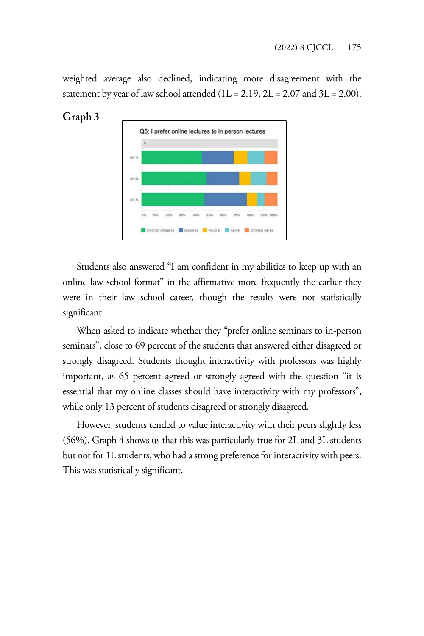weighted average also declined, indicating more disagreement with the statement by year of law school attended  $(1L = 2.19, 2L = 2.07, 3L = 2.00)$ .



#### **Graph 3**

Students also answered "I am confident in my abilities to keep up with an online law school format" in the affirmative more frequently the earlier they were in their law school career, though the results were not statistically significant.

When asked to indicate whether they "prefer online seminars to in-person seminars", close to 69 percent of the students that answered either disagreed or strongly disagreed. Students thought interactivity with professors was highly important, as 65 percent agreed or strongly agreed with the question "it is essential that my online classes should have interactivity with my professors", while only 13 percent of students disagreed or strongly disagreed.

However, students tended to value interactivity with their peers slightly less (56%). Graph 4 shows us that this was particularly true for 2L and 3L students but not for 1L students, who had a strong preference for interactivity with peers. This was statistically significant.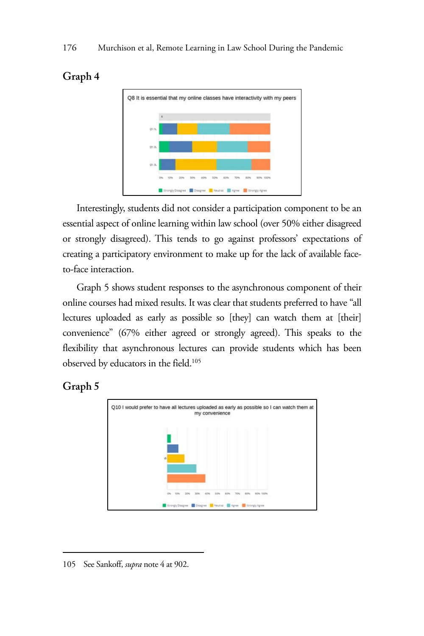

## **Graph 4**

Interestingly, students did not consider a participation component to be an essential aspect of online learning within law school (over 50% either disagreed or strongly disagreed). This tends to go against professors' expectations of creating a participatory environment to make up for the lack of available faceto-face interaction.

Graph 5 shows student responses to the asynchronous component of their online courses had mixed results. It was clear that students preferred to have "all lectures uploaded as early as possible so [they] can watch them at [their] convenience" (67% either agreed or strongly agreed). This speaks to the flexibility that asynchronous lectures can provide students which has been observed by educators in the field.105

### **Graph 5**



<sup>105</sup> See Sankoff, *supra* note 4 at 902.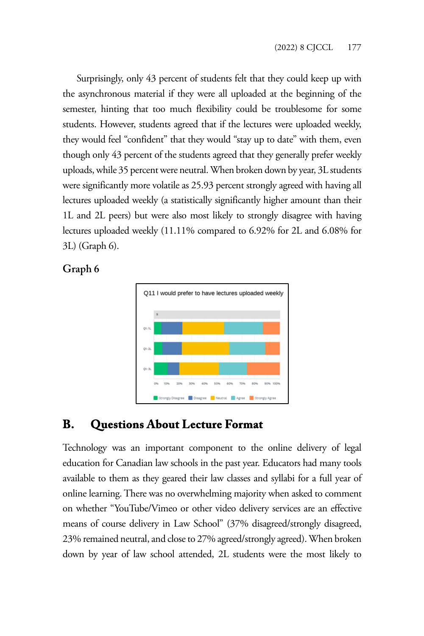Surprisingly, only 43 percent of students felt that they could keep up with the asynchronous material if they were all uploaded at the beginning of the semester, hinting that too much flexibility could be troublesome for some students. However, students agreed that if the lectures were uploaded weekly, they would feel "confident" that they would "stay up to date" with them, even though only 43 percent of the students agreed that they generally prefer weekly uploads, while 35 percent were neutral. When broken down by year, 3L students were significantly more volatile as 25.93 percent strongly agreed with having all lectures uploaded weekly (a statistically significantly higher amount than their 1L and 2L peers) but were also most likely to strongly disagree with having lectures uploaded weekly (11.11% compared to 6.92% for 2L and 6.08% for 3L) (Graph 6).

#### **Graph 6**



# **B. Questions About Lecture Format**

Technology was an important component to the online delivery of legal education for Canadian law schools in the past year. Educators had many tools available to them as they geared their law classes and syllabi for a full year of online learning. There was no overwhelming majority when asked to comment on whether "YouTube/Vimeo or other video delivery services are an effective means of course delivery in Law School" (37% disagreed/strongly disagreed, 23% remained neutral, and close to 27% agreed/strongly agreed). When broken down by year of law school attended, 2L students were the most likely to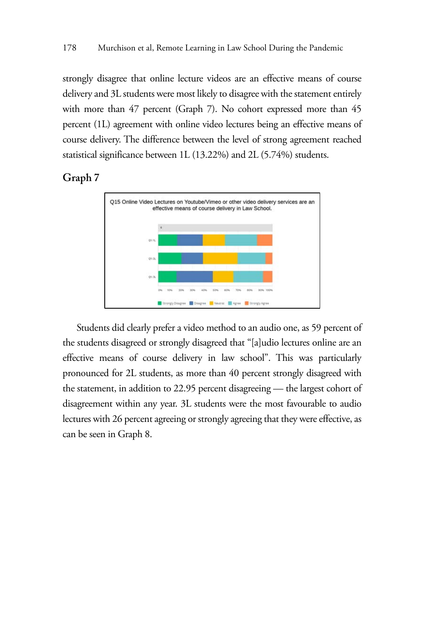strongly disagree that online lecture videos are an effective means of course delivery and 3L students were most likely to disagree with the statement entirely with more than 47 percent (Graph 7). No cohort expressed more than 45 percent (1L) agreement with online video lectures being an effective means of course delivery. The difference between the level of strong agreement reached statistical significance between 1L (13.22%) and 2L (5.74%) students.

#### **Graph 7**



Students did clearly prefer a video method to an audio one, as 59 percent of the students disagreed or strongly disagreed that "[a]udio lectures online are an effective means of course delivery in law school". This was particularly pronounced for 2L students, as more than 40 percent strongly disagreed with the statement, in addition to 22.95 percent disagreeing — the largest cohort of disagreement within any year. 3L students were the most favourable to audio lectures with 26 percent agreeing or strongly agreeing that they were effective, as can be seen in Graph 8.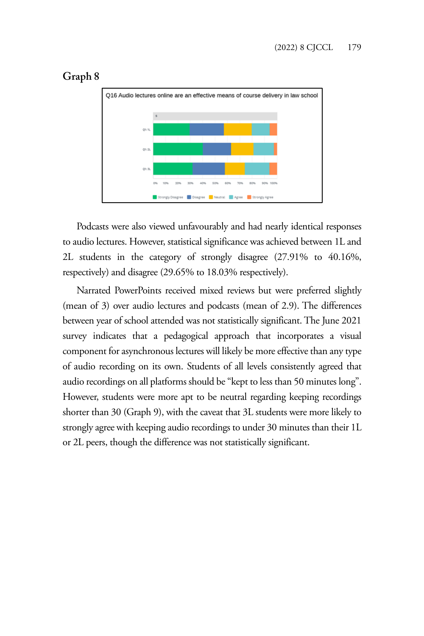

### **Graph 8**

Podcasts were also viewed unfavourably and had nearly identical responses to audio lectures. However, statistical significance was achieved between 1L and 2L students in the category of strongly disagree (27.91% to 40.16%, respectively) and disagree (29.65% to 18.03% respectively).

Narrated PowerPoints received mixed reviews but were preferred slightly (mean of 3) over audio lectures and podcasts (mean of 2.9). The differences between year of school attended was not statistically significant. The June 2021 survey indicates that a pedagogical approach that incorporates a visual component for asynchronous lectures will likely be more effective than any type of audio recording on its own. Students of all levels consistently agreed that audio recordings on all platforms should be "kept to less than 50 minutes long". However, students were more apt to be neutral regarding keeping recordings shorter than 30 (Graph 9), with the caveat that 3L students were more likely to strongly agree with keeping audio recordings to under 30 minutes than their 1L or 2L peers, though the difference was not statistically significant.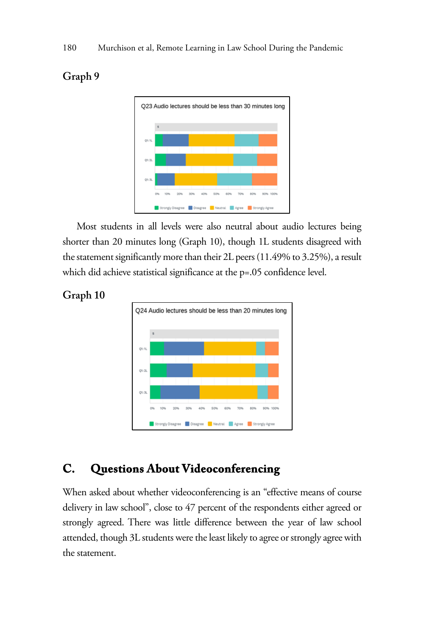

# Most students in all levels were also neutral about audio lectures being shorter than 20 minutes long (Graph 10), though 1L students disagreed with the statement significantly more than their 2L peers (11.49% to 3.25%), a result which did achieve statistical significance at the p=.05 confidence level.



#### **Graph 10**

**Graph 9** 

### **C. Questions About Videoconferencing**

When asked about whether videoconferencing is an "effective means of course delivery in law school", close to 47 percent of the respondents either agreed or strongly agreed. There was little difference between the year of law school attended, though 3L students were the least likely to agree or strongly agree with the statement.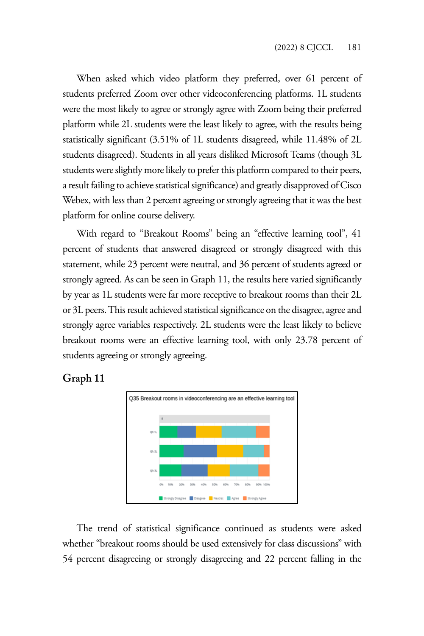When asked which video platform they preferred, over 61 percent of students preferred Zoom over other videoconferencing platforms. 1L students were the most likely to agree or strongly agree with Zoom being their preferred platform while 2L students were the least likely to agree, with the results being statistically significant (3.51% of 1L students disagreed, while 11.48% of 2L students disagreed). Students in all years disliked Microsoft Teams (though 3L students were slightly more likely to prefer this platform compared to their peers, a result failing to achieve statistical significance) and greatly disapproved of Cisco Webex, with less than 2 percent agreeing or strongly agreeing that it was the best platform for online course delivery.

With regard to "Breakout Rooms" being an "effective learning tool", 41 percent of students that answered disagreed or strongly disagreed with this statement, while 23 percent were neutral, and 36 percent of students agreed or strongly agreed. As can be seen in Graph 11, the results here varied significantly by year as 1L students were far more receptive to breakout rooms than their 2L or 3L peers. This result achieved statistical significance on the disagree, agree and strongly agree variables respectively. 2L students were the least likely to believe breakout rooms were an effective learning tool, with only 23.78 percent of students agreeing or strongly agreeing.

#### **Graph 11**



The trend of statistical significance continued as students were asked whether "breakout rooms should be used extensively for class discussions" with 54 percent disagreeing or strongly disagreeing and 22 percent falling in the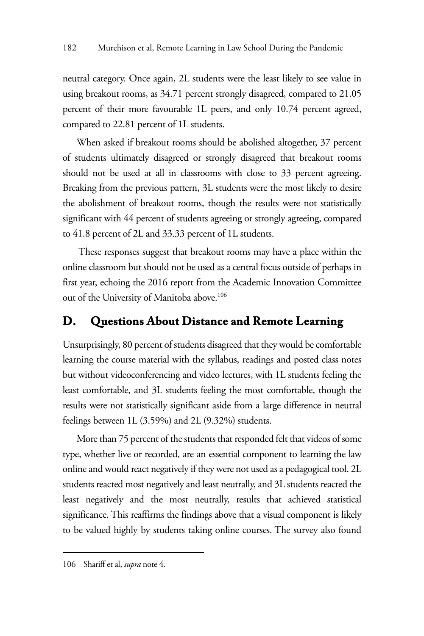neutral category. Once again, 2L students were the least likely to see value in using breakout rooms, as 34.71 percent strongly disagreed, compared to 21.05 percent of their more favourable 1L peers, and only 10.74 percent agreed, compared to 22.81 percent of 1L students.

When asked if breakout rooms should be abolished altogether, 37 percent of students ultimately disagreed or strongly disagreed that breakout rooms should not be used at all in classrooms with close to 33 percent agreeing. Breaking from the previous pattern, 3L students were the most likely to desire the abolishment of breakout rooms, though the results were not statistically significant with 44 percent of students agreeing or strongly agreeing, compared to 41.8 percent of 2L and 33.33 percent of 1L students.

 These responses suggest that breakout rooms may have a place within the online classroom but should not be used as a central focus outside of perhaps in first year, echoing the 2016 report from the Academic Innovation Committee out of the University of Manitoba above.106

# **D. Questions About Distance and Remote Learning**

Unsurprisingly, 80 percent of students disagreed that they would be comfortable learning the course material with the syllabus, readings and posted class notes but without videoconferencing and video lectures, with 1L students feeling the least comfortable, and 3L students feeling the most comfortable, though the results were not statistically significant aside from a large difference in neutral feelings between 1L (3.59%) and 2L (9.32%) students.

More than 75 percent of the students that responded felt that videos of some type, whether live or recorded, are an essential component to learning the law online and would react negatively if they were not used as a pedagogical tool. 2L students reacted most negatively and least neutrally, and 3L students reacted the least negatively and the most neutrally, results that achieved statistical significance. This reaffirms the findings above that a visual component is likely to be valued highly by students taking online courses. The survey also found

<sup>106</sup> Shariff et al, *supra* note 4.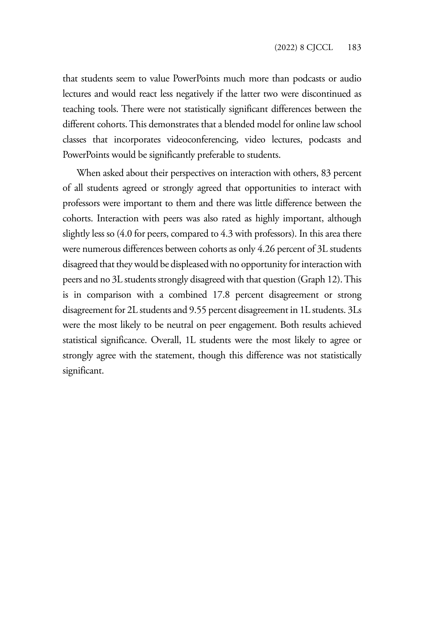that students seem to value PowerPoints much more than podcasts or audio lectures and would react less negatively if the latter two were discontinued as teaching tools. There were not statistically significant differences between the different cohorts. This demonstrates that a blended model for online law school classes that incorporates videoconferencing, video lectures, podcasts and PowerPoints would be significantly preferable to students.

When asked about their perspectives on interaction with others, 83 percent of all students agreed or strongly agreed that opportunities to interact with professors were important to them and there was little difference between the cohorts. Interaction with peers was also rated as highly important, although slightly less so (4.0 for peers, compared to 4.3 with professors). In this area there were numerous differences between cohorts as only 4.26 percent of 3L students disagreed that they would be displeased with no opportunity for interaction with peers and no 3L students strongly disagreed with that question (Graph 12). This is in comparison with a combined 17.8 percent disagreement or strong disagreement for 2L students and 9.55 percent disagreement in 1L students. 3Ls were the most likely to be neutral on peer engagement. Both results achieved statistical significance. Overall, 1L students were the most likely to agree or strongly agree with the statement, though this difference was not statistically significant.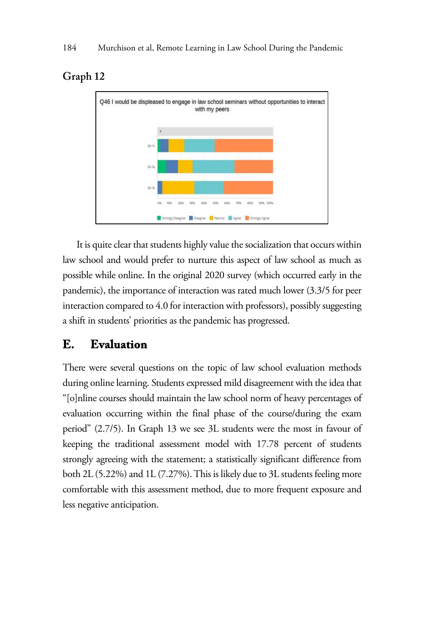

### **Graph 12**

It is quite clear that students highly value the socialization that occurs within law school and would prefer to nurture this aspect of law school as much as possible while online. In the original 2020 survey (which occurred early in the pandemic), the importance of interaction was rated much lower (3.3/5 for peer interaction compared to 4.0 for interaction with professors), possibly suggesting a shift in students' priorities as the pandemic has progressed.

# **E. Evaluation**

There were several questions on the topic of law school evaluation methods during online learning. Students expressed mild disagreement with the idea that "[o]nline courses should maintain the law school norm of heavy percentages of evaluation occurring within the final phase of the course/during the exam period" (2.7/5). In Graph 13 we see 3L students were the most in favour of keeping the traditional assessment model with 17.78 percent of students strongly agreeing with the statement; a statistically significant difference from both 2L (5.22%) and 1L (7.27%). This is likely due to 3L students feeling more comfortable with this assessment method, due to more frequent exposure and less negative anticipation.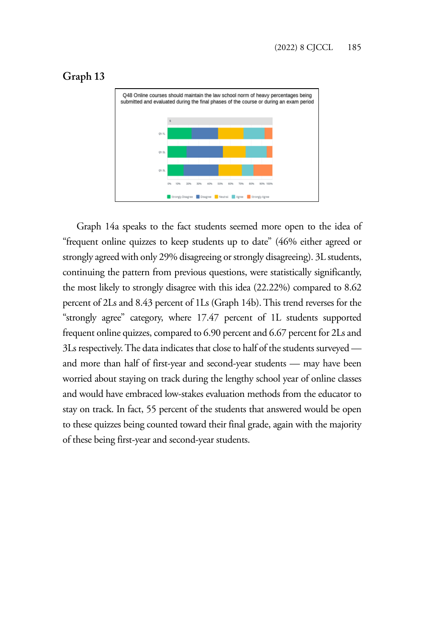### **Graph 13**



Graph 14a speaks to the fact students seemed more open to the idea of "frequent online quizzes to keep students up to date" (46% either agreed or strongly agreed with only 29% disagreeing or strongly disagreeing). 3L students, continuing the pattern from previous questions, were statistically significantly, the most likely to strongly disagree with this idea (22.22%) compared to 8.62 percent of 2Ls and 8.43 percent of 1Ls (Graph 14b). This trend reverses for the "strongly agree" category, where 17.47 percent of 1L students supported frequent online quizzes, compared to 6.90 percent and 6.67 percent for 2Ls and 3Ls respectively. The data indicates that close to half of the students surveyed and more than half of first-year and second-year students — may have been worried about staying on track during the lengthy school year of online classes and would have embraced low-stakes evaluation methods from the educator to stay on track. In fact, 55 percent of the students that answered would be open to these quizzes being counted toward their final grade, again with the majority of these being first-year and second-year students.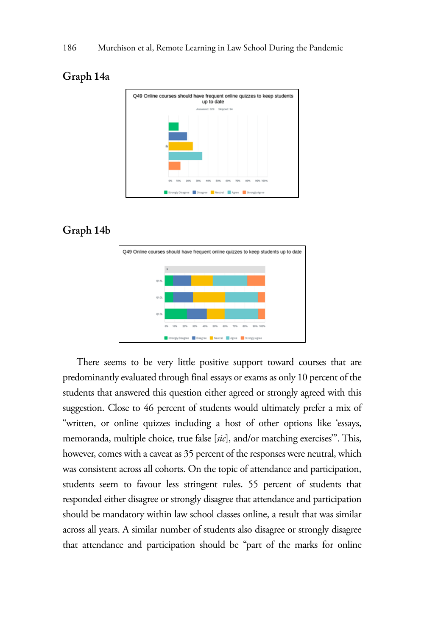#### **Graph 14a**



### **Graph 14b**



There seems to be very little positive support toward courses that are predominantly evaluated through final essays or exams as only 10 percent of the students that answered this question either agreed or strongly agreed with this suggestion. Close to 46 percent of students would ultimately prefer a mix of "written, or online quizzes including a host of other options like 'essays, memoranda, multiple choice, true false [*sic*], and/or matching exercises'". This, however, comes with a caveat as 35 percent of the responses were neutral, which was consistent across all cohorts. On the topic of attendance and participation, students seem to favour less stringent rules. 55 percent of students that responded either disagree or strongly disagree that attendance and participation should be mandatory within law school classes online, a result that was similar across all years. A similar number of students also disagree or strongly disagree that attendance and participation should be "part of the marks for online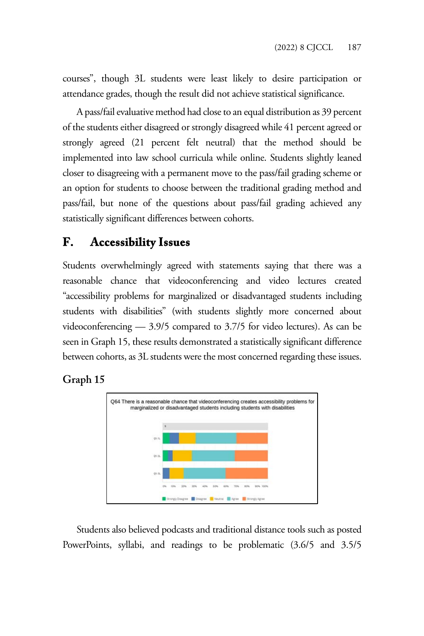courses", though 3L students were least likely to desire participation or attendance grades, though the result did not achieve statistical significance.

A pass/fail evaluative method had close to an equal distribution as 39 percent of the students either disagreed or strongly disagreed while 41 percent agreed or strongly agreed (21 percent felt neutral) that the method should be implemented into law school curricula while online. Students slightly leaned closer to disagreeing with a permanent move to the pass/fail grading scheme or an option for students to choose between the traditional grading method and pass/fail, but none of the questions about pass/fail grading achieved any statistically significant differences between cohorts.

# **F. Accessibility Issues**

Students overwhelmingly agreed with statements saying that there was a reasonable chance that videoconferencing and video lectures created "accessibility problems for marginalized or disadvantaged students including students with disabilities" (with students slightly more concerned about videoconferencing — 3.9/5 compared to 3.7/5 for video lectures). As can be seen in Graph 15, these results demonstrated a statistically significant difference between cohorts, as 3L students were the most concerned regarding these issues.





Students also believed podcasts and traditional distance tools such as posted PowerPoints, syllabi, and readings to be problematic (3.6/5 and 3.5/5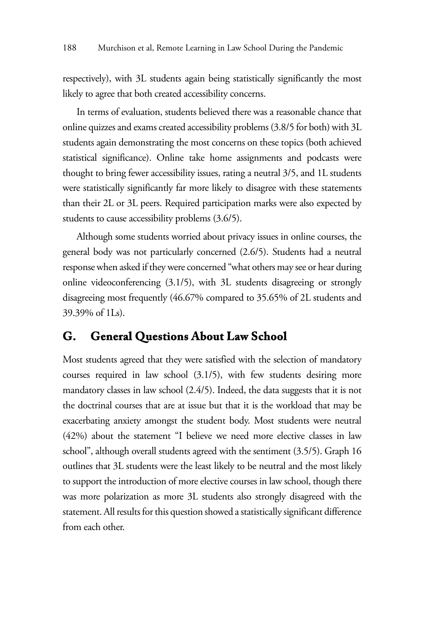respectively), with 3L students again being statistically significantly the most likely to agree that both created accessibility concerns.

In terms of evaluation, students believed there was a reasonable chance that online quizzes and exams created accessibility problems (3.8/5 for both) with 3L students again demonstrating the most concerns on these topics (both achieved statistical significance). Online take home assignments and podcasts were thought to bring fewer accessibility issues, rating a neutral 3/5, and 1L students were statistically significantly far more likely to disagree with these statements than their 2L or 3L peers. Required participation marks were also expected by students to cause accessibility problems (3.6/5).

Although some students worried about privacy issues in online courses, the general body was not particularly concerned (2.6/5). Students had a neutral response when asked if they were concerned "what others may see or hear during online videoconferencing (3.1/5), with 3L students disagreeing or strongly disagreeing most frequently (46.67% compared to 35.65% of 2L students and 39.39% of 1Ls).

### **G. General Questions About Law School**

Most students agreed that they were satisfied with the selection of mandatory courses required in law school (3.1/5), with few students desiring more mandatory classes in law school (2.4/5). Indeed, the data suggests that it is not the doctrinal courses that are at issue but that it is the workload that may be exacerbating anxiety amongst the student body. Most students were neutral (42%) about the statement "I believe we need more elective classes in law school", although overall students agreed with the sentiment (3.5/5). Graph 16 outlines that 3L students were the least likely to be neutral and the most likely to support the introduction of more elective courses in law school, though there was more polarization as more 3L students also strongly disagreed with the statement. All results for this question showed a statistically significant difference from each other.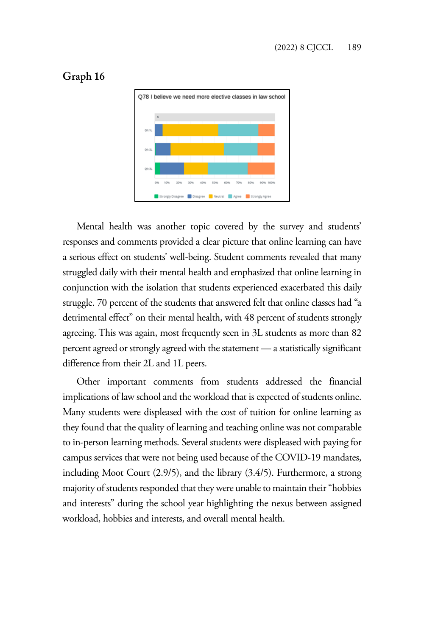

#### **Graph 16**

Mental health was another topic covered by the survey and students' responses and comments provided a clear picture that online learning can have a serious effect on students' well-being. Student comments revealed that many struggled daily with their mental health and emphasized that online learning in conjunction with the isolation that students experienced exacerbated this daily struggle. 70 percent of the students that answered felt that online classes had "a detrimental effect" on their mental health, with 48 percent of students strongly agreeing. This was again, most frequently seen in 3L students as more than 82 percent agreed or strongly agreed with the statement — a statistically significant difference from their 2L and 1L peers.

Other important comments from students addressed the financial implications of law school and the workload that is expected of students online. Many students were displeased with the cost of tuition for online learning as they found that the quality of learning and teaching online was not comparable to in-person learning methods. Several students were displeased with paying for campus services that were not being used because of the COVID-19 mandates, including Moot Court (2.9/5), and the library (3.4/5). Furthermore, a strong majority of students responded that they were unable to maintain their "hobbies and interests" during the school year highlighting the nexus between assigned workload, hobbies and interests, and overall mental health.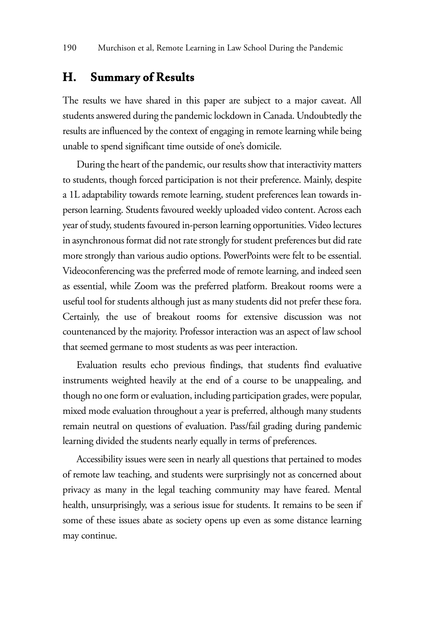### **H. Summary of Results**

The results we have shared in this paper are subject to a major caveat. All students answered during the pandemic lockdown in Canada. Undoubtedly the results are influenced by the context of engaging in remote learning while being unable to spend significant time outside of one's domicile.

During the heart of the pandemic, our results show that interactivity matters to students, though forced participation is not their preference. Mainly, despite a 1L adaptability towards remote learning, student preferences lean towards inperson learning. Students favoured weekly uploaded video content. Across each year of study, students favoured in-person learning opportunities. Video lectures in asynchronous format did not rate strongly for student preferences but did rate more strongly than various audio options. PowerPoints were felt to be essential. Videoconferencing was the preferred mode of remote learning, and indeed seen as essential, while Zoom was the preferred platform. Breakout rooms were a useful tool for students although just as many students did not prefer these fora. Certainly, the use of breakout rooms for extensive discussion was not countenanced by the majority. Professor interaction was an aspect of law school that seemed germane to most students as was peer interaction.

Evaluation results echo previous findings, that students find evaluative instruments weighted heavily at the end of a course to be unappealing, and though no one form or evaluation, including participation grades, were popular, mixed mode evaluation throughout a year is preferred, although many students remain neutral on questions of evaluation. Pass/fail grading during pandemic learning divided the students nearly equally in terms of preferences.

Accessibility issues were seen in nearly all questions that pertained to modes of remote law teaching, and students were surprisingly not as concerned about privacy as many in the legal teaching community may have feared. Mental health, unsurprisingly, was a serious issue for students. It remains to be seen if some of these issues abate as society opens up even as some distance learning may continue.